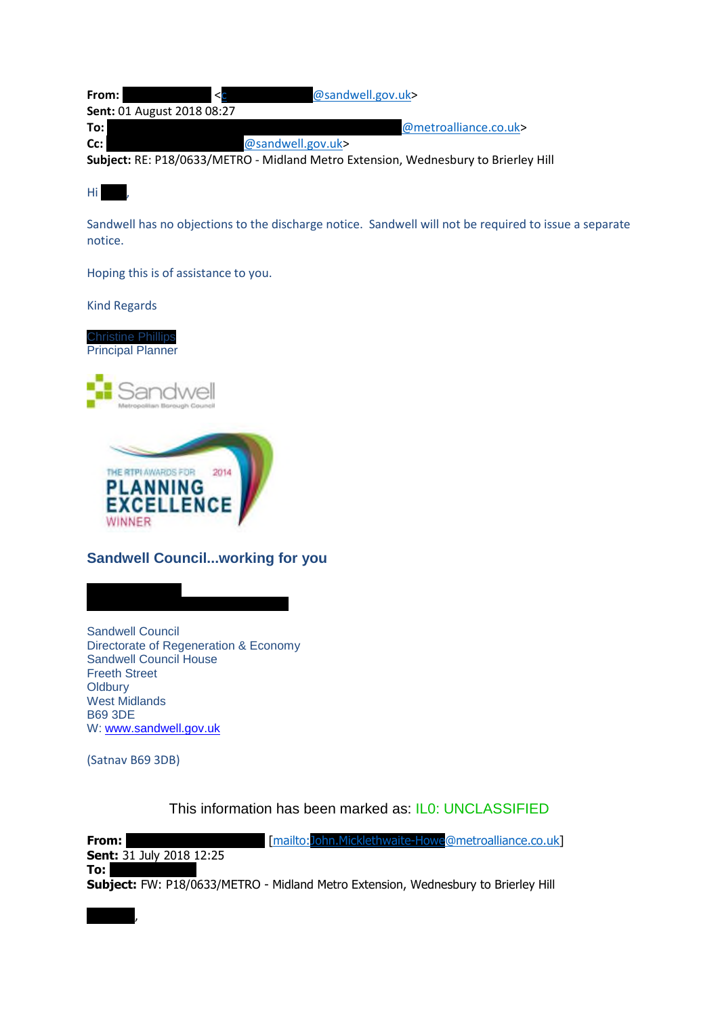| From: l | $\leq$                            | @sandwell.gov.uk>     |
|---------|-----------------------------------|-----------------------|
|         | <b>Sent: 01 August 2018 08:27</b> |                       |
| To:     |                                   | @metroalliance.co.uk> |
| Cc:     |                                   | @sandwell.gov.uk>     |
|         |                                   |                       |

**Subject:** RE: P18/0633/METRO - Midland Metro Extension, Wednesbury to Brierley Hill

Hi J

Sandwell has no objections to the discharge notice. Sandwell will not be required to issue a separate notice.

Hoping this is of assistance to you.

Kind Regards

Christine Phillips Principal Planner





## **Sandwell Council...working for you**

T: 0121 569 4040

Sandwell Council Directorate of Regeneration & Economy Sandwell Council House Freeth Street **Oldbury** West Midlands B69 3DE W: www.sandwell.gov.uk

(Satnav B69 3DB)

Christine,

This information has been marked as: IL0: UNCLASSIFIED

**From:** Micklethwaite-Howe@metroalliance.co.uk **Sent:** 31 July 2018 12:25 **To: Subject:** FW: P18/0633/METRO - Midland Metro Extension, Wednesbury to Brierley Hill